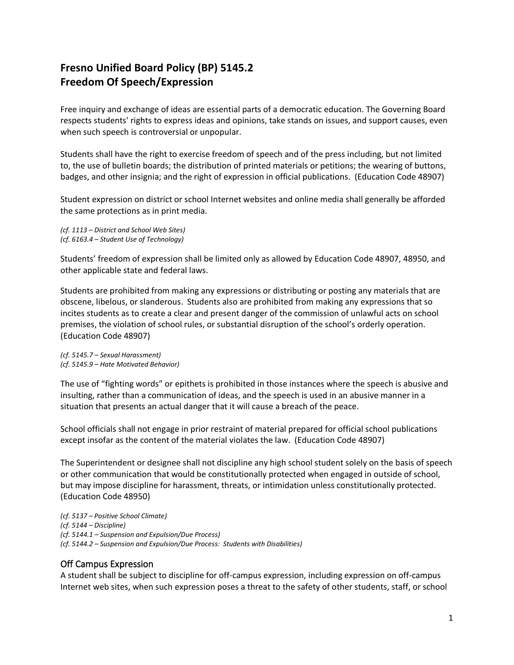## **Fresno Unified Board Policy (BP) 5145.2 Freedom Of Speech/Expression**

Free inquiry and exchange of ideas are essential parts of a democratic education. The Governing Board respects students' rights to express ideas and opinions, take stands on issues, and support causes, even when such speech is controversial or unpopular.

Students shall have the right to exercise freedom of speech and of the press including, but not limited to, the use of bulletin boards; the distribution of printed materials or petitions; the wearing of buttons, badges, and other insignia; and the right of expression in official publications. (Education Code 48907)

Student expression on district or school Internet websites and online media shall generally be afforded the same protections as in print media.

*(cf. 1113 – District and School Web Sites) (cf. 6163.4 – Student Use of Technology)*

Students' freedom of expression shall be limited only as allowed by Education Code 48907, 48950, and other applicable state and federal laws.

Students are prohibited from making any expressions or distributing or posting any materials that are obscene, libelous, or slanderous. Students also are prohibited from making any expressions that so incites students as to create a clear and present danger of the commission of unlawful acts on school premises, the violation of school rules, or substantial disruption of the school's orderly operation. (Education Code 48907)

*(cf. 5145.7 – Sexual Harassment) (cf. 5145.9 – Hate Motivated Behavior)*

The use of "fighting words" or epithets is prohibited in those instances where the speech is abusive and insulting, rather than a communication of ideas, and the speech is used in an abusive manner in a situation that presents an actual danger that it will cause a breach of the peace.

School officials shall not engage in prior restraint of material prepared for official school publications except insofar as the content of the material violates the law. (Education Code 48907)

The Superintendent or designee shall not discipline any high school student solely on the basis of speech or other communication that would be constitutionally protected when engaged in outside of school, but may impose discipline for harassment, threats, or intimidation unless constitutionally protected. (Education Code 48950)

*(cf. 5137 – Positive School Climate) (cf. 5144 – Discipline) (cf. 5144.1 – Suspension and Expulsion/Due Process) (cf. 5144.2 – Suspension and Expulsion/Due Process: Students with Disabilities)*

## Off Campus Expression

A student shall be subject to discipline for off-campus expression, including expression on off-campus Internet web sites, when such expression poses a threat to the safety of other students, staff, or school